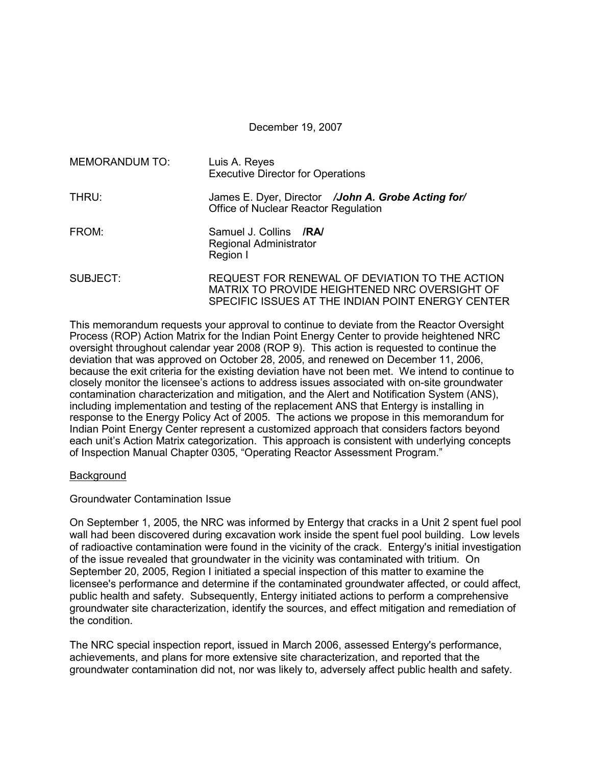December 19, 2007

| <b>MEMORANDUM TO:</b> | Luis A. Reyes<br><b>Executive Director for Operations</b>                                                                                            |  |  |  |  |  |  |
|-----------------------|------------------------------------------------------------------------------------------------------------------------------------------------------|--|--|--|--|--|--|
| THRU:                 | James E. Dyer, Director /John A. Grobe Acting for/<br>Office of Nuclear Reactor Regulation                                                           |  |  |  |  |  |  |
| FROM:                 | Samuel J. Collins /RA/<br>Regional Administrator<br>Region I                                                                                         |  |  |  |  |  |  |
| SUBJECT:              | REQUEST FOR RENEWAL OF DEVIATION TO THE ACTION<br>MATRIX TO PROVIDE HEIGHTENED NRC OVERSIGHT OF<br>SPECIFIC ISSUES AT THE INDIAN POINT ENERGY CENTER |  |  |  |  |  |  |

This memorandum requests your approval to continue to deviate from the Reactor Oversight Process (ROP) Action Matrix for the Indian Point Energy Center to provide heightened NRC oversight throughout calendar year 2008 (ROP 9). This action is requested to continue the deviation that was approved on October 28, 2005, and renewed on December 11, 2006, because the exit criteria for the existing deviation have not been met. We intend to continue to closely monitor the licensee's actions to address issues associated with on-site groundwater contamination characterization and mitigation, and the Alert and Notification System (ANS), including implementation and testing of the replacement ANS that Entergy is installing in response to the Energy Policy Act of 2005. The actions we propose in this memorandum for Indian Point Energy Center represent a customized approach that considers factors beyond each unit's Action Matrix categorization. This approach is consistent with underlying concepts of Inspection Manual Chapter 0305, "Operating Reactor Assessment Program."

### **Background**

### Groundwater Contamination Issue

On September 1, 2005, the NRC was informed by Entergy that cracks in a Unit 2 spent fuel pool wall had been discovered during excavation work inside the spent fuel pool building. Low levels of radioactive contamination were found in the vicinity of the crack. Entergy's initial investigation of the issue revealed that groundwater in the vicinity was contaminated with tritium. On September 20, 2005, Region I initiated a special inspection of this matter to examine the licensee's performance and determine if the contaminated groundwater affected, or could affect, public health and safety. Subsequently, Entergy initiated actions to perform a comprehensive groundwater site characterization, identify the sources, and effect mitigation and remediation of the condition.

The NRC special inspection report, issued in March 2006, assessed Entergy's performance, achievements, and plans for more extensive site characterization, and reported that the groundwater contamination did not, nor was likely to, adversely affect public health and safety.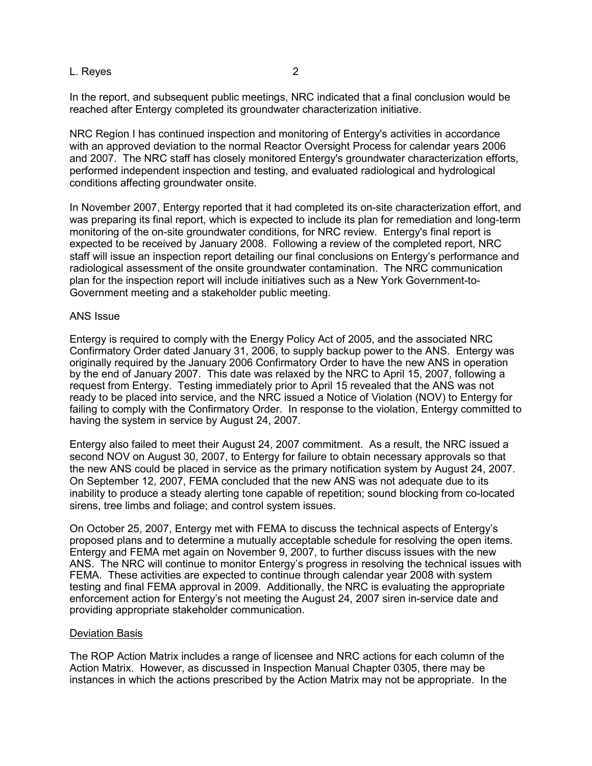### L. Reyes 2

In the report, and subsequent public meetings, NRC indicated that a final conclusion would be reached after Entergy completed its groundwater characterization initiative.

NRC Region I has continued inspection and monitoring of Entergy's activities in accordance with an approved deviation to the normal Reactor Oversight Process for calendar years 2006 and 2007. The NRC staff has closely monitored Entergy's groundwater characterization efforts, performed independent inspection and testing, and evaluated radiological and hydrological conditions affecting groundwater onsite.

In November 2007, Entergy reported that it had completed its on-site characterization effort, and was preparing its final report, which is expected to include its plan for remediation and long-term monitoring of the on-site groundwater conditions, for NRC review. Entergy's final report is expected to be received by January 2008. Following a review of the completed report, NRC staff will issue an inspection report detailing our final conclusions on Entergy's performance and radiological assessment of the onsite groundwater contamination. The NRC communication plan for the inspection report will include initiatives such as a New York Government-to-Government meeting and a stakeholder public meeting.

#### ANS Issue

Entergy is required to comply with the Energy Policy Act of 2005, and the associated NRC Confirmatory Order dated January 31, 2006, to supply backup power to the ANS. Entergy was originally required by the January 2006 Confirmatory Order to have the new ANS in operation by the end of January 2007. This date was relaxed by the NRC to April 15, 2007, following a request from Entergy. Testing immediately prior to April 15 revealed that the ANS was not ready to be placed into service, and the NRC issued a Notice of Violation (NOV) to Entergy for failing to comply with the Confirmatory Order. In response to the violation, Entergy committed to having the system in service by August 24, 2007.

Entergy also failed to meet their August 24, 2007 commitment. As a result, the NRC issued a second NOV on August 30, 2007, to Entergy for failure to obtain necessary approvals so that the new ANS could be placed in service as the primary notification system by August 24, 2007. On September 12, 2007, FEMA concluded that the new ANS was not adequate due to its inability to produce a steady alerting tone capable of repetition; sound blocking from co-located sirens, tree limbs and foliage; and control system issues.

On October 25, 2007, Entergy met with FEMA to discuss the technical aspects of Entergy's proposed plans and to determine a mutually acceptable schedule for resolving the open items. Entergy and FEMA met again on November 9, 2007, to further discuss issues with the new ANS. The NRC will continue to monitor Entergy's progress in resolving the technical issues with FEMA. These activities are expected to continue through calendar year 2008 with system testing and final FEMA approval in 2009. Additionally, the NRC is evaluating the appropriate enforcement action for Entergy's not meeting the August 24, 2007 siren in-service date and providing appropriate stakeholder communication.

### Deviation Basis

The ROP Action Matrix includes a range of licensee and NRC actions for each column of the Action Matrix. However, as discussed in Inspection Manual Chapter 0305, there may be instances in which the actions prescribed by the Action Matrix may not be appropriate. In the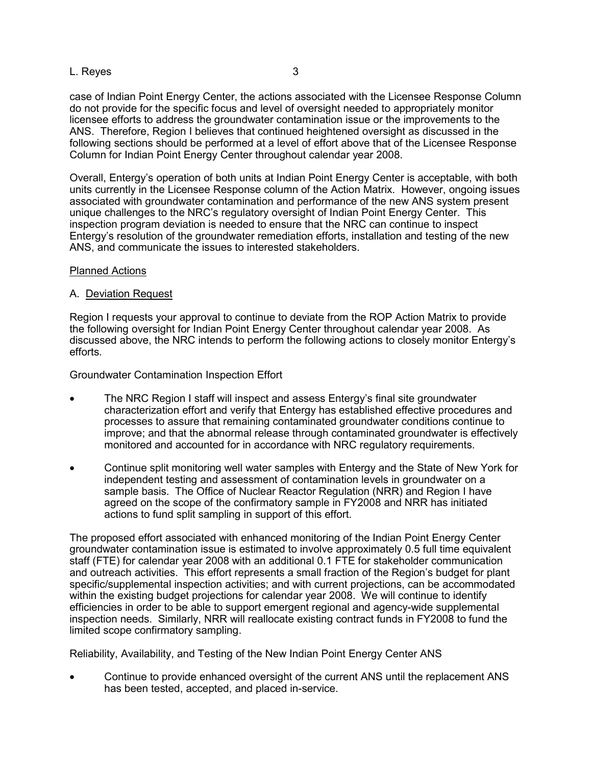# L. Reyes 3

case of Indian Point Energy Center, the actions associated with the Licensee Response Column do not provide for the specific focus and level of oversight needed to appropriately monitor licensee efforts to address the groundwater contamination issue or the improvements to the ANS. Therefore, Region I believes that continued heightened oversight as discussed in the following sections should be performed at a level of effort above that of the Licensee Response Column for Indian Point Energy Center throughout calendar year 2008.

Overall, Entergy's operation of both units at Indian Point Energy Center is acceptable, with both units currently in the Licensee Response column of the Action Matrix. However, ongoing issues associated with groundwater contamination and performance of the new ANS system present unique challenges to the NRC's regulatory oversight of Indian Point Energy Center. This inspection program deviation is needed to ensure that the NRC can continue to inspect Entergy's resolution of the groundwater remediation efforts, installation and testing of the new ANS, and communicate the issues to interested stakeholders.

### Planned Actions

# A. Deviation Request

Region I requests your approval to continue to deviate from the ROP Action Matrix to provide the following oversight for Indian Point Energy Center throughout calendar year 2008. As discussed above, the NRC intends to perform the following actions to closely monitor Entergy's efforts.

Groundwater Contamination Inspection Effort

- The NRC Region I staff will inspect and assess Entergy's final site groundwater characterization effort and verify that Entergy has established effective procedures and processes to assure that remaining contaminated groundwater conditions continue to improve; and that the abnormal release through contaminated groundwater is effectively monitored and accounted for in accordance with NRC regulatory requirements.
- Continue split monitoring well water samples with Entergy and the State of New York for independent testing and assessment of contamination levels in groundwater on a sample basis. The Office of Nuclear Reactor Regulation (NRR) and Region I have agreed on the scope of the confirmatory sample in FY2008 and NRR has initiated actions to fund split sampling in support of this effort.

The proposed effort associated with enhanced monitoring of the Indian Point Energy Center groundwater contamination issue is estimated to involve approximately 0.5 full time equivalent staff (FTE) for calendar year 2008 with an additional 0.1 FTE for stakeholder communication and outreach activities. This effort represents a small fraction of the Region's budget for plant specific/supplemental inspection activities; and with current projections, can be accommodated within the existing budget projections for calendar year 2008. We will continue to identify efficiencies in order to be able to support emergent regional and agency-wide supplemental inspection needs. Similarly, NRR will reallocate existing contract funds in FY2008 to fund the limited scope confirmatory sampling.

Reliability, Availability, and Testing of the New Indian Point Energy Center ANS

• Continue to provide enhanced oversight of the current ANS until the replacement ANS has been tested, accepted, and placed in-service.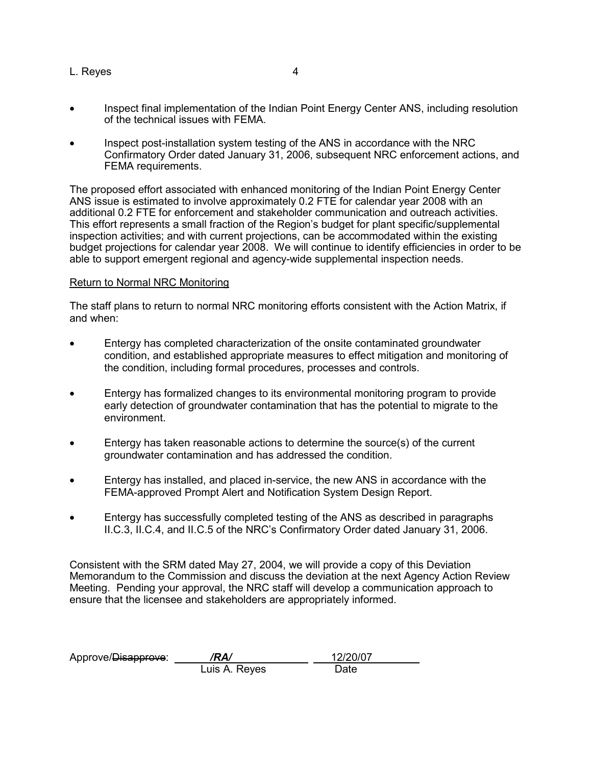- L. Reyes 4
- Inspect final implementation of the Indian Point Energy Center ANS, including resolution of the technical issues with FEMA.
- Inspect post-installation system testing of the ANS in accordance with the NRC Confirmatory Order dated January 31, 2006, subsequent NRC enforcement actions, and FEMA requirements.

The proposed effort associated with enhanced monitoring of the Indian Point Energy Center ANS issue is estimated to involve approximately 0.2 FTE for calendar year 2008 with an additional 0.2 FTE for enforcement and stakeholder communication and outreach activities. This effort represents a small fraction of the Region's budget for plant specific/supplemental inspection activities; and with current projections, can be accommodated within the existing budget projections for calendar year 2008. We will continue to identify efficiencies in order to be able to support emergent regional and agency-wide supplemental inspection needs.

# Return to Normal NRC Monitoring

The staff plans to return to normal NRC monitoring efforts consistent with the Action Matrix, if and when:

- Entergy has completed characterization of the onsite contaminated groundwater condition, and established appropriate measures to effect mitigation and monitoring of the condition, including formal procedures, processes and controls.
- Entergy has formalized changes to its environmental monitoring program to provide early detection of groundwater contamination that has the potential to migrate to the environment.
- Entergy has taken reasonable actions to determine the source(s) of the current groundwater contamination and has addressed the condition.
- Entergy has installed, and placed in-service, the new ANS in accordance with the FEMA-approved Prompt Alert and Notification System Design Report.
- Entergy has successfully completed testing of the ANS as described in paragraphs II.C.3, II.C.4, and II.C.5 of the NRC's Confirmatory Order dated January 31, 2006.

Consistent with the SRM dated May 27, 2004, we will provide a copy of this Deviation Memorandum to the Commission and discuss the deviation at the next Agency Action Review Meeting. Pending your approval, the NRC staff will develop a communication approach to ensure that the licensee and stakeholders are appropriately informed.

| Approve/Disapprove: | /RA/          | 12/20/07 |
|---------------------|---------------|----------|
|                     | Luis A. Reyes | Date     |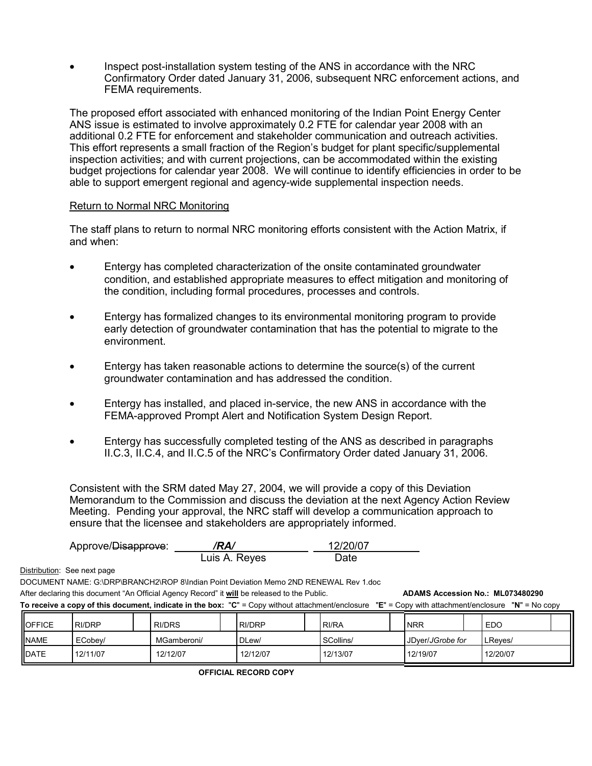• Inspect post-installation system testing of the ANS in accordance with the NRC Confirmatory Order dated January 31, 2006, subsequent NRC enforcement actions, and FEMA requirements.

The proposed effort associated with enhanced monitoring of the Indian Point Energy Center ANS issue is estimated to involve approximately 0.2 FTE for calendar year 2008 with an additional 0.2 FTE for enforcement and stakeholder communication and outreach activities. This effort represents a small fraction of the Region's budget for plant specific/supplemental inspection activities; and with current projections, can be accommodated within the existing budget projections for calendar year 2008. We will continue to identify efficiencies in order to be able to support emergent regional and agency-wide supplemental inspection needs.

# Return to Normal NRC Monitoring

The staff plans to return to normal NRC monitoring efforts consistent with the Action Matrix, if and when:

- Entergy has completed characterization of the onsite contaminated groundwater condition, and established appropriate measures to effect mitigation and monitoring of the condition, including formal procedures, processes and controls.
- Entergy has formalized changes to its environmental monitoring program to provide early detection of groundwater contamination that has the potential to migrate to the environment.
- Entergy has taken reasonable actions to determine the source(s) of the current groundwater contamination and has addressed the condition.
- Entergy has installed, and placed in-service, the new ANS in accordance with the FEMA-approved Prompt Alert and Notification System Design Report.
- Entergy has successfully completed testing of the ANS as described in paragraphs II.C.3, II.C.4, and II.C.5 of the NRC's Confirmatory Order dated January 31, 2006.

Consistent with the SRM dated May 27, 2004, we will provide a copy of this Deviation Memorandum to the Commission and discuss the deviation at the next Agency Action Review Meeting. Pending your approval, the NRC staff will develop a communication approach to ensure that the licensee and stakeholders are appropriately informed.

|                                                                                                                                                     | Approve/Disapprove:         |               | /RA/          |          |  | 12/20/07  |  |                  |  |            |  |  |  |  |
|-----------------------------------------------------------------------------------------------------------------------------------------------------|-----------------------------|---------------|---------------|----------|--|-----------|--|------------------|--|------------|--|--|--|--|
|                                                                                                                                                     |                             |               | Luis A. Reyes |          |  | Date      |  |                  |  |            |  |  |  |  |
|                                                                                                                                                     | Distribution: See next page |               |               |          |  |           |  |                  |  |            |  |  |  |  |
| DOCUMENT NAME: G:\DRP\BRANCH2\ROP 8\Indian Point Deviation Memo 2ND RENEWAL Rev 1.doc                                                               |                             |               |               |          |  |           |  |                  |  |            |  |  |  |  |
| After declaring this document "An Official Agency Record" it will be released to the Public.<br>ADAMS Accession No.: ML073480290                    |                             |               |               |          |  |           |  |                  |  |            |  |  |  |  |
| To receive a copy of this document, indicate in the box: "C" = Copy without attachment/enclosure "E" = Copy with attachment/enclosure "N" = No copy |                             |               |               |          |  |           |  |                  |  |            |  |  |  |  |
| <b>OFFICE</b>                                                                                                                                       | RI/DRP                      | <b>RI/DRS</b> |               | RI/DRP   |  | RI/RA     |  | <b>NRR</b>       |  | <b>EDO</b> |  |  |  |  |
| <b>NAME</b>                                                                                                                                         | ECobey/                     | MGamberoni/   |               | DLew/    |  | SCollins/ |  | JDyer/JGrobe for |  | LReyes/    |  |  |  |  |
| <b>IDATE</b>                                                                                                                                        | 12/11/07                    | 12/12/07      |               | 12/12/07 |  | 12/13/07  |  | 12/19/07         |  | 12/20/07   |  |  |  |  |

**OFFICIAL RECORD COPY**